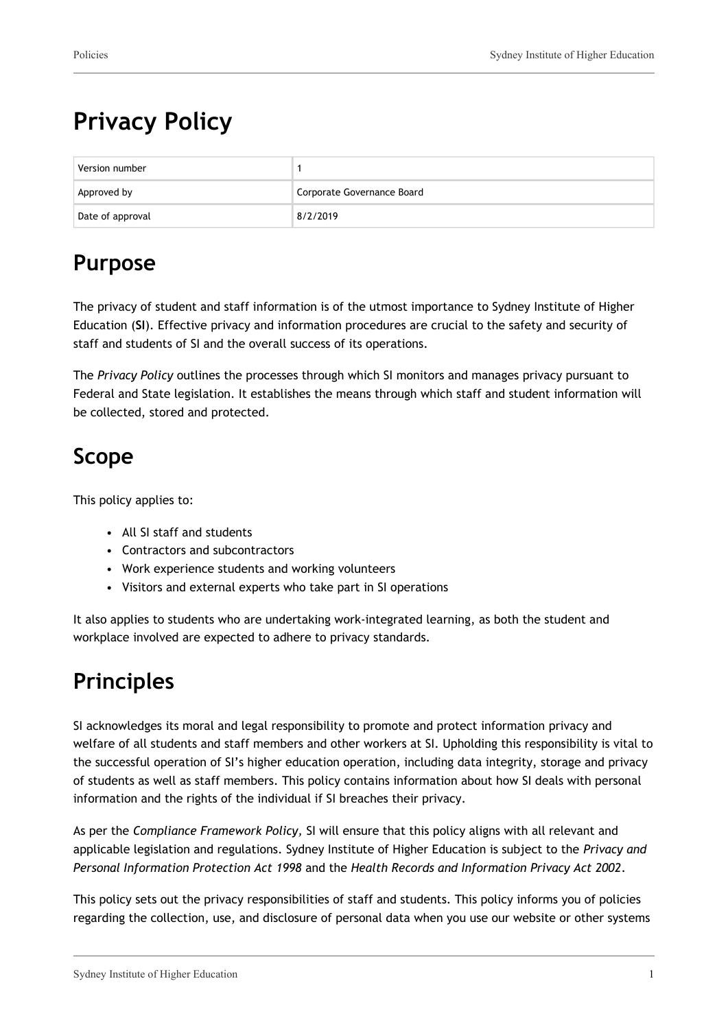# **Privacy Policy**

| Version number   |                            |
|------------------|----------------------------|
| Approved by      | Corporate Governance Board |
| Date of approval | 8/2/2019                   |

## **Purpose**

The privacy of student and staff information is of the utmost importance to Sydney Institute of Higher Education (**SI**). Effective privacy and information procedures are crucial to the safety and security of staff and students of SI and the overall success of its operations.

The *Privacy Policy* outlines the processes through which SI monitors and manages privacy pursuant to Federal and State legislation. It establishes the means through which staff and student information will be collected, stored and protected.

## **Scope**

This policy applies to:

- All SI staff and students
- Contractors and subcontractors
- Work experience students and working volunteers
- Visitors and external experts who take part in SI operations

It also applies to students who are undertaking work-integrated learning, as both the student and workplace involved are expected to adhere to privacy standards.

## **Principles**

SI acknowledges its moral and legal responsibility to promote and protect information privacy and welfare of all students and staff members and other workers at SI. Upholding this responsibility is vital to the successful operation of SI's higher education operation, including data integrity, storage and privacy of students as well as staff members. This policy contains information about how SI deals with personal information and the rights of the individual if SI breaches their privacy.

As per the *Compliance Framework Policy,* SI will ensure that this policy aligns with all relevant and applicable legislation and regulations. Sydney Institute of Higher Education is subject to the *Privacy and Personal Information Protection Act 1998* and the *Health Records and Information Privacy Act 2002*.

This policy sets out the privacy responsibilities of staff and students. This policy informs you of policies regarding the collection, use, and disclosure of personal data when you use our website or other systems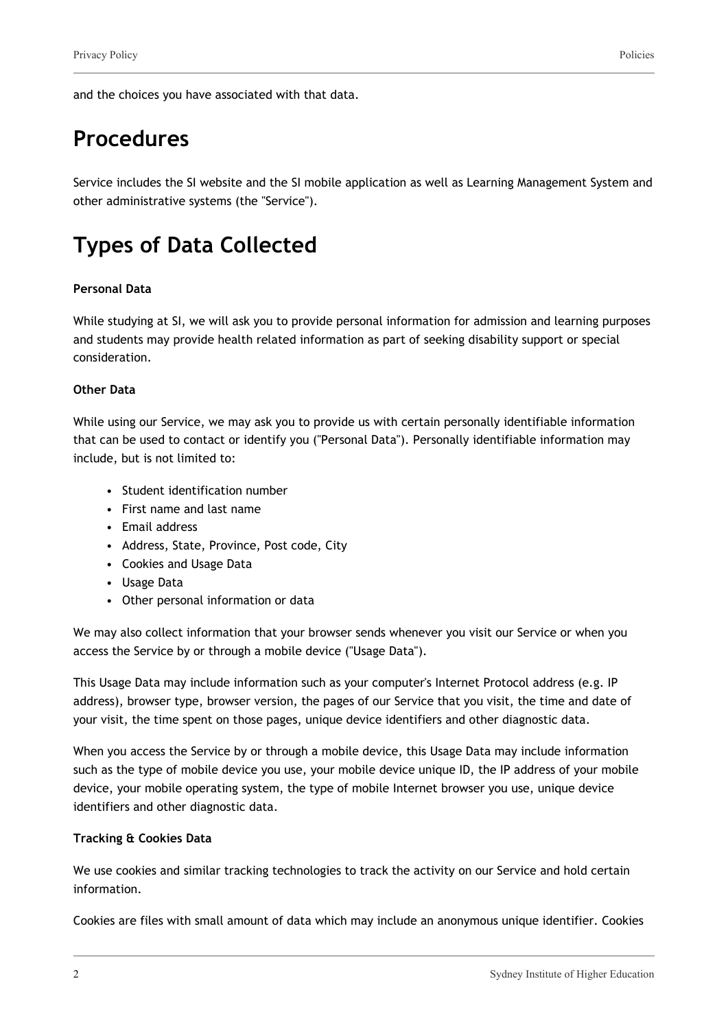and the choices you have associated with that data.

### **Procedures**

Service includes the SI website and the SI mobile application as well as Learning Management System and other administrative systems (the "Service").

### **Types of Data Collected**

#### **Personal Data**

While studying at SI, we will ask you to provide personal information for admission and learning purposes and students may provide health related information as part of seeking disability support or special consideration.

#### **Other Data**

While using our Service, we may ask you to provide us with certain personally identifiable information that can be used to contact or identify you ("Personal Data"). Personally identifiable information may include, but is not limited to:

- Student identification number
- First name and last name
- Email address
- Address, State, Province, Post code, City
- Cookies and Usage Data
- Usage Data
- Other personal information or data

We may also collect information that your browser sends whenever you visit our Service or when you access the Service by or through a mobile device ("Usage Data").

This Usage Data may include information such as your computer's Internet Protocol address (e.g. IP address), browser type, browser version, the pages of our Service that you visit, the time and date of your visit, the time spent on those pages, unique device identifiers and other diagnostic data.

When you access the Service by or through a mobile device, this Usage Data may include information such as the type of mobile device you use, your mobile device unique ID, the IP address of your mobile device, your mobile operating system, the type of mobile Internet browser you use, unique device identifiers and other diagnostic data.

#### **Tracking & Cookies Data**

We use cookies and similar tracking technologies to track the activity on our Service and hold certain information.

Cookies are files with small amount of data which may include an anonymous unique identifier. Cookies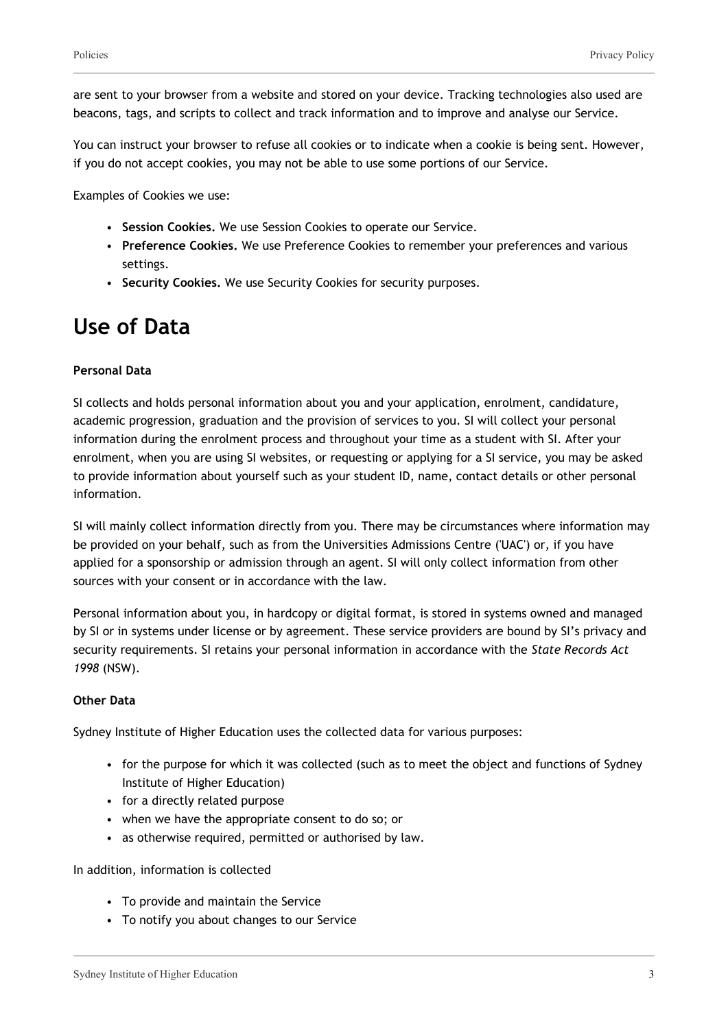are sent to your browser from a website and stored on your device. Tracking technologies also used are beacons, tags, and scripts to collect and track information and to improve and analyse our Service.

You can instruct your browser to refuse all cookies or to indicate when a cookie is being sent. However, if you do not accept cookies, you may not be able to use some portions of our Service.

Examples of Cookies we use:

- **Session Cookies.** We use Session Cookies to operate our Service.
- **Preference Cookies.** We use Preference Cookies to remember your preferences and various settings.
- **Security Cookies.** We use Security Cookies for security purposes.

### **Use of Data**

#### **Personal Data**

SI collects and holds personal information about you and your application, enrolment, candidature, academic progression, graduation and the provision of services to you. SI will collect your personal information during the enrolment process and throughout your time as a student with SI. After your enrolment, when you are using SI websites, or requesting or applying for a SI service, you may be asked to provide information about yourself such as your student ID, name, contact details or other personal information.

SI will mainly collect information directly from you. There may be circumstances where information may be provided on your behalf, such as from the Universities Admissions Centre ('UAC') or, if you have applied for a sponsorship or admission through an agent. SI will only collect information from other sources with your consent or in accordance with the law.

Personal information about you, in hardcopy or digital format, is stored in systems owned and managed by SI or in systems under license or by agreement. These service providers are bound by SI's privacy and security requirements. SI retains your personal information in accordance with the *State Records Act 1998* (NSW).

#### **Other Data**

Sydney Institute of Higher Education uses the collected data for various purposes:

- for the purpose for which it was collected (such as to meet the object and functions of Sydney Institute of Higher Education)
- for a directly related purpose
- when we have the appropriate consent to do so; or
- as otherwise required, permitted or authorised by law.

#### In addition, information is collected

- To provide and maintain the Service
- To notify you about changes to our Service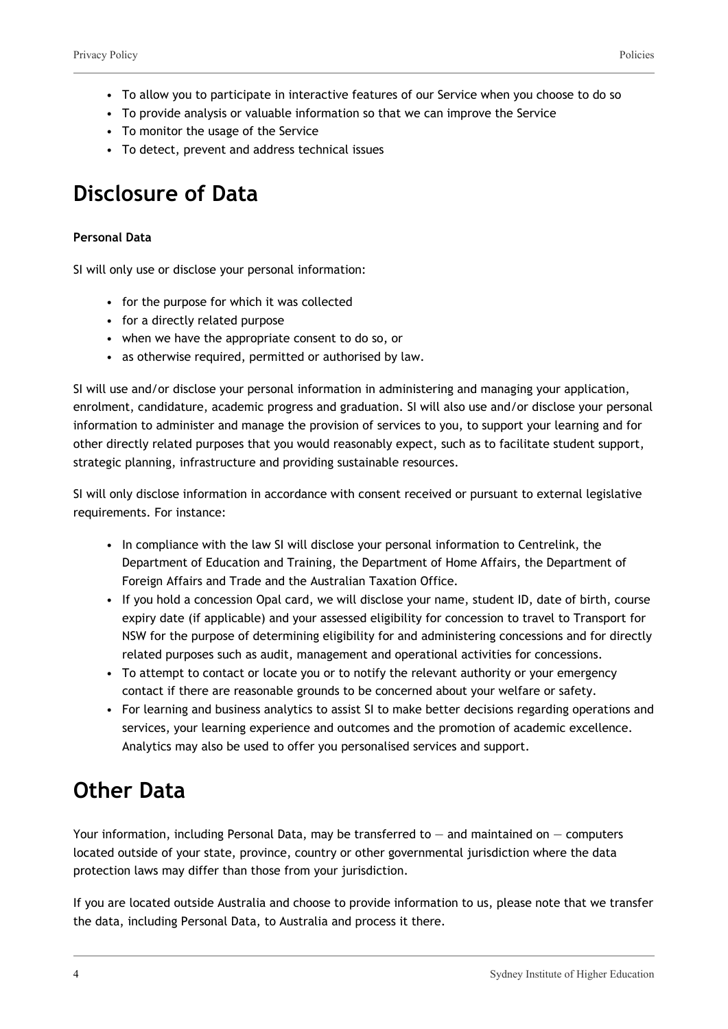- To allow you to participate in interactive features of our Service when you choose to do so
- To provide analysis or valuable information so that we can improve the Service
- To monitor the usage of the Service
- To detect, prevent and address technical issues

### **Disclosure of Data**

#### **Personal Data**

SI will only use or disclose your personal information:

- for the purpose for which it was collected
- for a directly related purpose
- when we have the appropriate consent to do so, or
- as otherwise required, permitted or authorised by law.

SI will use and/or disclose your personal information in administering and managing your application, enrolment, candidature, academic progress and graduation. SI will also use and/or disclose your personal information to administer and manage the provision of services to you, to support your learning and for other directly related purposes that you would reasonably expect, such as to facilitate student support, strategic planning, infrastructure and providing sustainable resources.

SI will only disclose information in accordance with consent received or pursuant to external legislative requirements. For instance:

- In compliance with the law SI will disclose your personal information to Centrelink, the Department of Education and Training, the Department of Home Affairs, the Department of Foreign Affairs and Trade and the Australian Taxation Office.
- If you hold a concession Opal card, we will disclose your name, student ID, date of birth, course expiry date (if applicable) and your assessed eligibility for concession to travel to Transport for NSW for the purpose of determining eligibility for and administering concessions and for directly related purposes such as audit, management and operational activities for concessions.
- To attempt to contact or locate you or to notify the relevant authority or your emergency contact if there are reasonable grounds to be concerned about your welfare or safety.
- For learning and business analytics to assist SI to make better decisions regarding operations and services, your learning experience and outcomes and the promotion of academic excellence. Analytics may also be used to offer you personalised services and support.

### **Other Data**

Your information, including Personal Data, may be transferred to  $-$  and maintained on  $-$  computers located outside of your state, province, country or other governmental jurisdiction where the data protection laws may differ than those from your jurisdiction.

If you are located outside Australia and choose to provide information to us, please note that we transfer the data, including Personal Data, to Australia and process it there.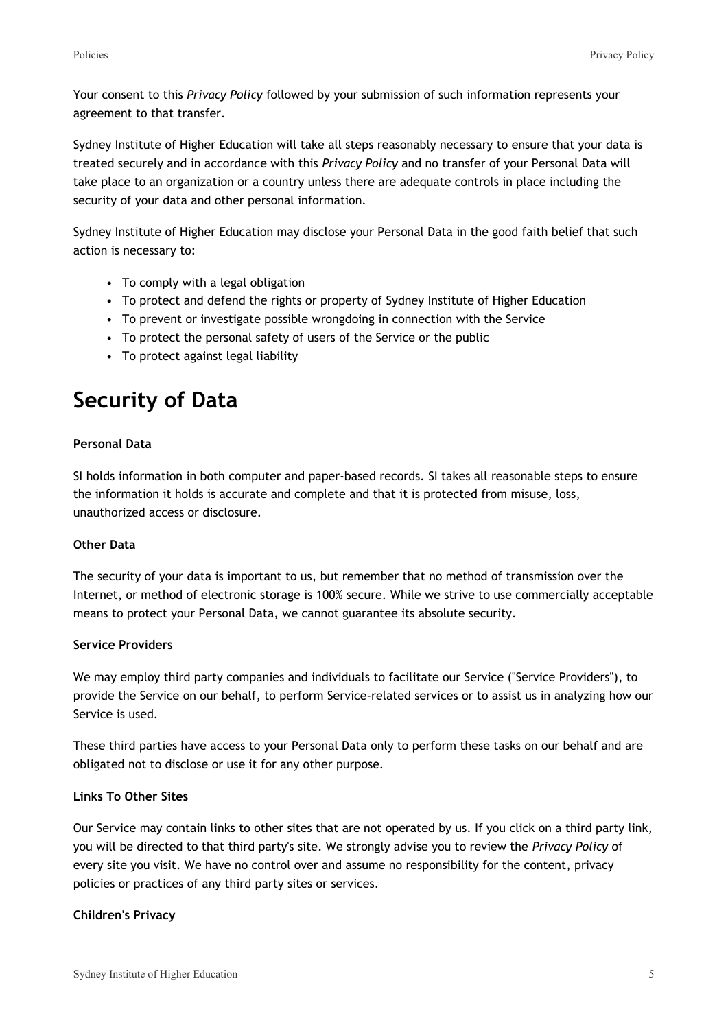Your consent to this *Privacy Policy* followed by your submission of such information represents your agreement to that transfer.

Sydney Institute of Higher Education will take all steps reasonably necessary to ensure that your data is treated securely and in accordance with this *Privacy Policy* and no transfer of your Personal Data will take place to an organization or a country unless there are adequate controls in place including the security of your data and other personal information.

Sydney Institute of Higher Education may disclose your Personal Data in the good faith belief that such action is necessary to:

- To comply with a legal obligation
- To protect and defend the rights or property of Sydney Institute of Higher Education
- To prevent or investigate possible wrongdoing in connection with the Service
- To protect the personal safety of users of the Service or the public
- To protect against legal liability

### **Security of Data**

#### **Personal Data**

SI holds information in both computer and paper-based records. SI takes all reasonable steps to ensure the information it holds is accurate and complete and that it is protected from misuse, loss, unauthorized access or disclosure.

#### **Other Data**

The security of your data is important to us, but remember that no method of transmission over the Internet, or method of electronic storage is 100% secure. While we strive to use commercially acceptable means to protect your Personal Data, we cannot guarantee its absolute security.

#### **Service Providers**

We may employ third party companies and individuals to facilitate our Service ("Service Providers"), to provide the Service on our behalf, to perform Service-related services or to assist us in analyzing how our Service is used.

These third parties have access to your Personal Data only to perform these tasks on our behalf and are obligated not to disclose or use it for any other purpose.

#### **Links To Other Sites**

Our Service may contain links to other sites that are not operated by us. If you click on a third party link, you will be directed to that third party's site. We strongly advise you to review the *Privacy Policy* of every site you visit. We have no control over and assume no responsibility for the content, privacy policies or practices of any third party sites or services.

#### **Children's Privacy**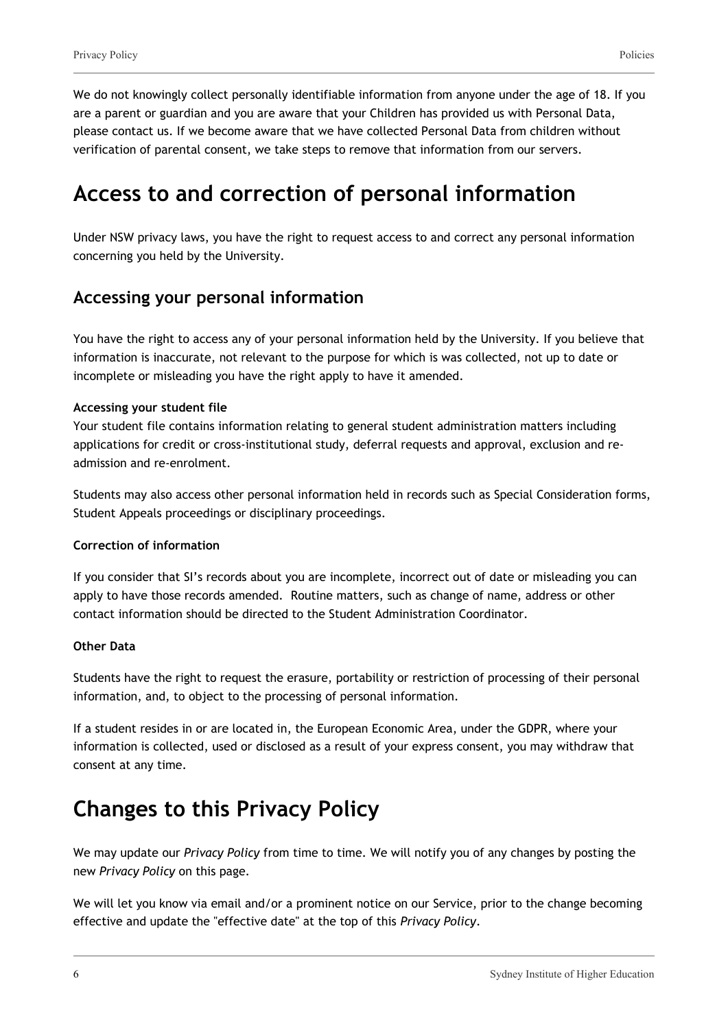We do not knowingly collect personally identifiable information from anyone under the age of 18. If you are a parent or guardian and you are aware that your Children has provided us with Personal Data, please contact us. If we become aware that we have collected Personal Data from children without verification of parental consent, we take steps to remove that information from our servers.

### **Access to and correction of personal information**

Under NSW privacy laws, you have the right to request access to and correct any personal information concerning you held by the University.

### **Accessing your personal information**

You have the right to access any of your personal information held by the University. If you believe that information is inaccurate, not relevant to the purpose for which is was collected, not up to date or incomplete or misleading you have the right apply to have it amended.

#### **Accessing your student file**

Your student file contains information relating to general student administration matters including applications for credit or cross-institutional study, deferral requests and approval, exclusion and readmission and re-enrolment.

Students may also access other personal information held in records such as Special Consideration forms, Student Appeals proceedings or disciplinary proceedings.

#### **Correction of information**

If you consider that SI's records about you are incomplete, incorrect out of date or misleading you can apply to have those records amended. Routine matters, such as change of name, address or other contact information should be directed to the Student Administration Coordinator.

#### **Other Data**

Students have the right to request the erasure, portability or restriction of processing of their personal information, and, to object to the processing of personal information.

If a student resides in or are located in, the European Economic Area, under the GDPR, where your information is collected, used or disclosed as a result of your express consent, you may withdraw that consent at any time.

### **Changes to this Privacy Policy**

We may update our *Privacy Policy* from time to time. We will notify you of any changes by posting the new *Privacy Policy* on this page.

We will let you know via email and/or a prominent notice on our Service, prior to the change becoming effective and update the "effective date" at the top of this *Privacy Policy*.